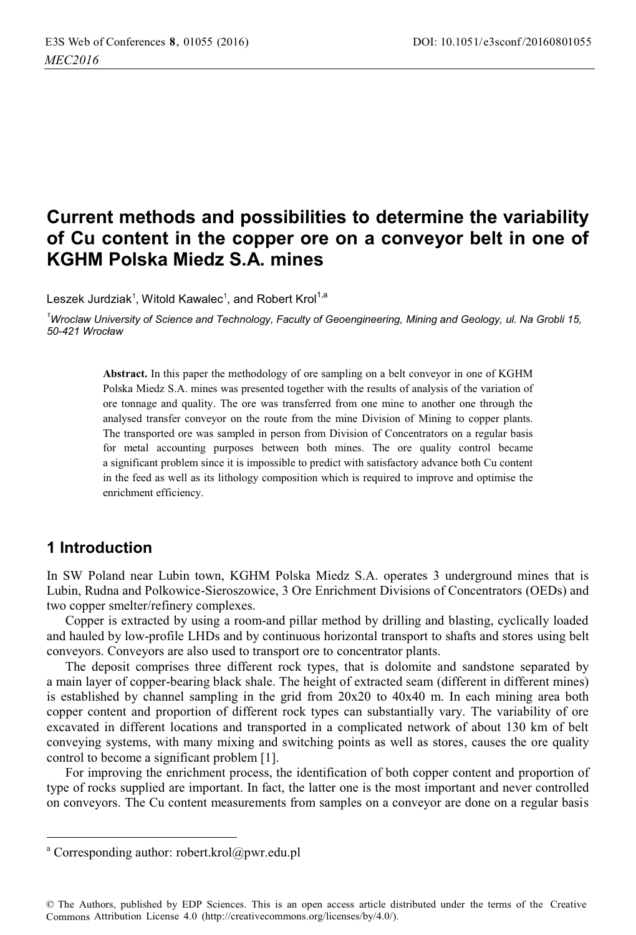# **Current methods and possibilities to determine the variability of Cu content in the copper ore on a conveyor belt in one of KGHM Polska Miedz S.A. mines**

Leszek Jurdziak<sup>1</sup>, Witold Kawalec<sup>1</sup>, and Robert Krol<sup>1,a</sup>

*1 Wroclaw University of Science and Technology, Faculty of Geoengineering, Mining and Geology, ul. Na Grobli 15, 50-421 Wrocław*

> **Abstract.** In this paper the methodology of ore sampling on a belt conveyor in one of KGHM Polska Miedz S.A. mines was presented together with the results of analysis of the variation of ore tonnage and quality. The ore was transferred from one mine to another one through the analysed transfer conveyor on the route from the mine Division of Mining to copper plants. The transported ore was sampled in person from Division of Concentrators on a regular basis for metal accounting purposes between both mines. The ore quality control became a significant problem since it is impossible to predict with satisfactory advance both Cu content in the feed as well as its lithology composition which is required to improve and optimise the enrichment efficiency.

#### **1 Introduction**

 $\overline{a}$ 

In SW Poland near Lubin town, KGHM Polska Miedz S.A. operates 3 underground mines that is Lubin, Rudna and Polkowice-Sieroszowice, 3 Ore Enrichment Divisions of Concentrators (OEDs) and two copper smelter/refinery complexes.

Copper is extracted by using a room-and pillar method by drilling and blasting, cyclically loaded and hauled by low-profile LHDs and by continuous horizontal transport to shafts and stores using belt conveyors. Conveyors are also used to transport ore to concentrator plants.

The deposit comprises three different rock types, that is dolomite and sandstone separated by a main layer of copper-bearing black shale. The height of extracted seam (different in different mines) is established by channel sampling in the grid from 20x20 to 40x40 m. In each mining area both copper content and proportion of different rock types can substantially vary. The variability of ore excavated in different locations and transported in a complicated network of about 130 km of belt conveying systems, with many mixing and switching points as well as stores, causes the ore quality control to become a significant problem [1].

For improving the enrichment process, the identification of both copper content and proportion of type of rocks supplied are important. In fact, the latter one is the most important and never controlled on conveyors. The Cu content measurements from samples on a conveyor are done on a regular basis

<sup>&</sup>lt;sup>a</sup> Corresponding author: [robert.krol@pwr.edu.pl](mailto:robert.krol@pwr.edu.pl)

<sup>©</sup> The Authors, published by EDP Sciences. This is an open access article distributed under the terms of the Creative Commons Attribution License 4.0 ([http://creativecommons.org/licenses/by/4.0/\).](http://creativecommons.org/licenses/by/4.0/)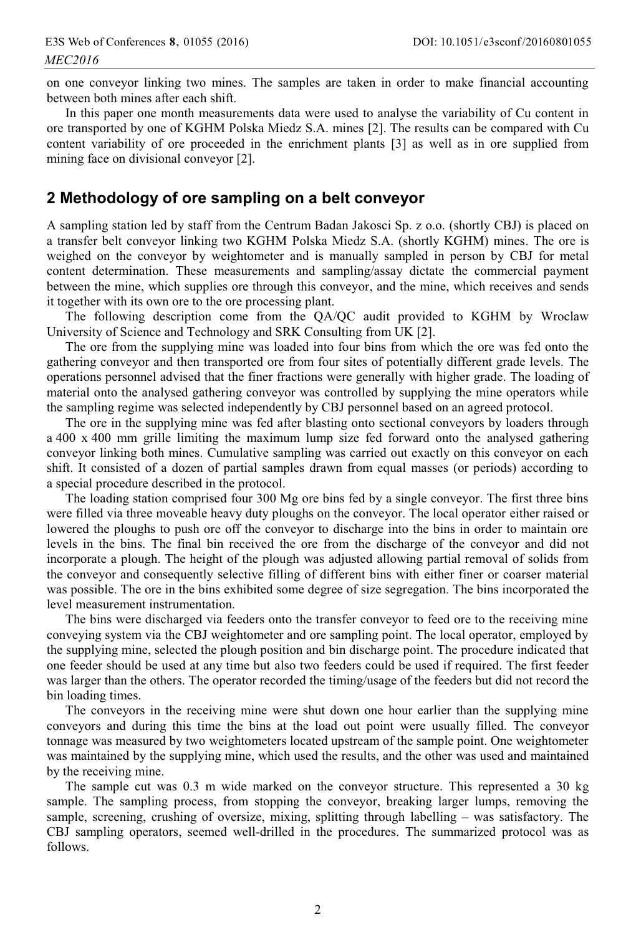on one conveyor linking two mines. The samples are taken in order to make financial accounting between both mines after each shift.

In this paper one month measurements data were used to analyse the variability of Cu content in ore transported by one of KGHM Polska Miedz S.A. mines [2]. The results can be compared with Cu content variability of ore proceeded in the enrichment plants [3] as well as in ore supplied from mining face on divisional conveyor [2].

#### **2 Methodology of ore sampling on a belt conveyor**

A sampling station led by staff from the Centrum Badan Jakosci Sp. z o.o. (shortly CBJ) is placed on a transfer belt conveyor linking two KGHM Polska Miedz S.A. (shortly KGHM) mines. The ore is weighed on the conveyor by weightometer and is manually sampled in person by CBJ for metal content determination. These measurements and sampling/assay dictate the commercial payment between the mine, which supplies ore through this conveyor, and the mine, which receives and sends it together with its own ore to the ore processing plant.

The following description come from the QA/QC audit provided to KGHM by Wroclaw University of Science and Technology and SRK Consulting from UK [2].

The ore from the supplying mine was loaded into four bins from which the ore was fed onto the gathering conveyor and then transported ore from four sites of potentially different grade levels. The operations personnel advised that the finer fractions were generally with higher grade. The loading of material onto the analysed gathering conveyor was controlled by supplying the mine operators while the sampling regime was selected independently by CBJ personnel based on an agreed protocol.

The ore in the supplying mine was fed after blasting onto sectional conveyors by loaders through a 400 x 400 mm grille limiting the maximum lump size fed forward onto the analysed gathering conveyor linking both mines. Cumulative sampling was carried out exactly on this conveyor on each shift. It consisted of a dozen of partial samples drawn from equal masses (or periods) according to a special procedure described in the protocol.

The loading station comprised four 300 Mg ore bins fed by a single conveyor. The first three bins were filled via three moveable heavy duty ploughs on the conveyor. The local operator either raised or lowered the ploughs to push ore off the conveyor to discharge into the bins in order to maintain ore levels in the bins. The final bin received the ore from the discharge of the conveyor and did not incorporate a plough. The height of the plough was adjusted allowing partial removal of solids from the conveyor and consequently selective filling of different bins with either finer or coarser material was possible. The ore in the bins exhibited some degree of size segregation. The bins incorporated the level measurement instrumentation.

The bins were discharged via feeders onto the transfer conveyor to feed ore to the receiving mine conveying system via the CBJ weightometer and ore sampling point. The local operator, employed by the supplying mine, selected the plough position and bin discharge point. The procedure indicated that one feeder should be used at any time but also two feeders could be used if required. The first feeder was larger than the others. The operator recorded the timing/usage of the feeders but did not record the bin loading times.

The conveyors in the receiving mine were shut down one hour earlier than the supplying mine conveyors and during this time the bins at the load out point were usually filled. The conveyor tonnage was measured by two weightometers located upstream of the sample point. One weightometer was maintained by the supplying mine, which used the results, and the other was used and maintained by the receiving mine.

The sample cut was 0.3 m wide marked on the conveyor structure. This represented a 30 kg sample. The sampling process, from stopping the conveyor, breaking larger lumps, removing the sample, screening, crushing of oversize, mixing, splitting through labelling – was satisfactory. The CBJ sampling operators, seemed well-drilled in the procedures. The summarized protocol was as follows.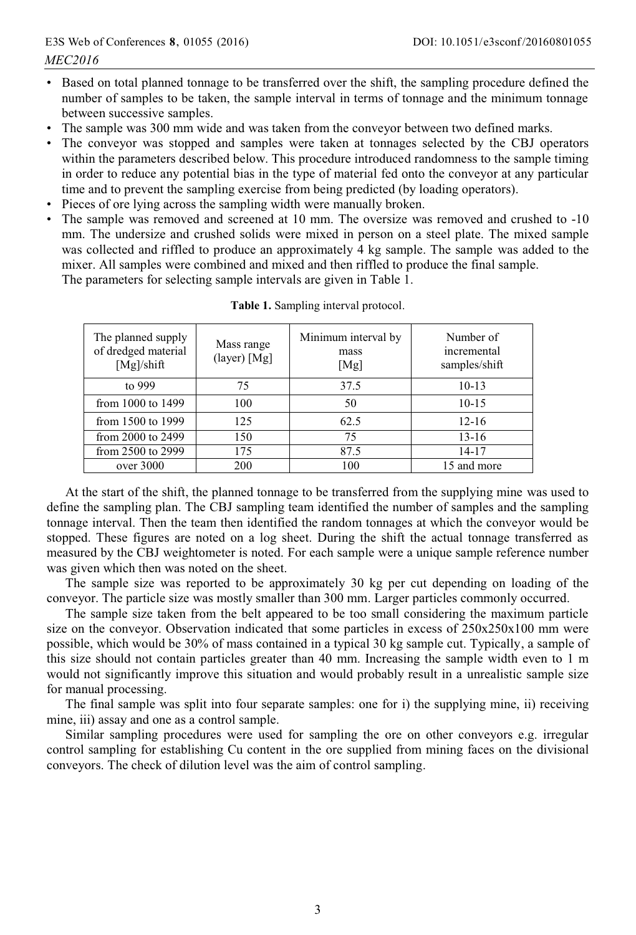- Based on total planned tonnage to be transferred over the shift, the sampling procedure defined the number of samples to be taken, the sample interval in terms of tonnage and the minimum tonnage between successive samples.
- The sample was 300 mm wide and was taken from the conveyor between two defined marks.
- The conveyor was stopped and samples were taken at tonnages selected by the CBJ operators within the parameters described below. This procedure introduced randomness to the sample timing in order to reduce any potential bias in the type of material fed onto the conveyor at any particular time and to prevent the sampling exercise from being predicted (by loading operators).
- Pieces of ore lying across the sampling width were manually broken.
- The sample was removed and screened at 10 mm. The oversize was removed and crushed to -10 mm. The undersize and crushed solids were mixed in person on a steel plate. The mixed sample was collected and riffled to produce an approximately 4 kg sample. The sample was added to the mixer. All samples were combined and mixed and then riffled to produce the final sample. The parameters for selecting sample intervals are given in Table 1.

| The planned supply<br>of dredged material<br>$[Mg]/\text{shift}$ | Mass range<br>$(\text{layer})$ $[\text{Mg}]$ | Minimum interval by<br>mass<br>[Mg] | Number of<br>incremental<br>samples/shift |  |
|------------------------------------------------------------------|----------------------------------------------|-------------------------------------|-------------------------------------------|--|
| to 999                                                           | 75                                           | 37.5                                | $10-13$                                   |  |
| from 1000 to 1499                                                | 100                                          | 50                                  | $10-15$                                   |  |
| from 1500 to 1999                                                | 125                                          | 62.5                                | $12 - 16$                                 |  |
| from 2000 to 2499                                                | 150                                          | 75                                  | $13-16$                                   |  |
| from 2500 to 2999                                                | 175                                          | 87.5                                | $14 - 17$                                 |  |
| over 3000                                                        | 200                                          | 100                                 | 15 and more                               |  |

**Table 1.** Sampling interval protocol.

At the start of the shift, the planned tonnage to be transferred from the supplying mine was used to define the sampling plan. The CBJ sampling team identified the number of samples and the sampling tonnage interval. Then the team then identified the random tonnages at which the conveyor would be stopped. These figures are noted on a log sheet. During the shift the actual tonnage transferred as measured by the CBJ weightometer is noted. For each sample were a unique sample reference number was given which then was noted on the sheet.

The sample size was reported to be approximately 30 kg per cut depending on loading of the conveyor. The particle size was mostly smaller than 300 mm. Larger particles commonly occurred.

The sample size taken from the belt appeared to be too small considering the maximum particle size on the conveyor. Observation indicated that some particles in excess of  $250x250x100$  mm were possible, which would be 30% of mass contained in a typical 30 kg sample cut. Typically, a sample of this size should not contain particles greater than 40 mm. Increasing the sample width even to 1 m would not significantly improve this situation and would probably result in a unrealistic sample size for manual processing.

The final sample was split into four separate samples: one for i) the supplying mine, ii) receiving mine, iii) assay and one as a control sample.

Similar sampling procedures were used for sampling the ore on other conveyors e.g. irregular control sampling for establishing Cu content in the ore supplied from mining faces on the divisional conveyors. The check of dilution level was the aim of control sampling.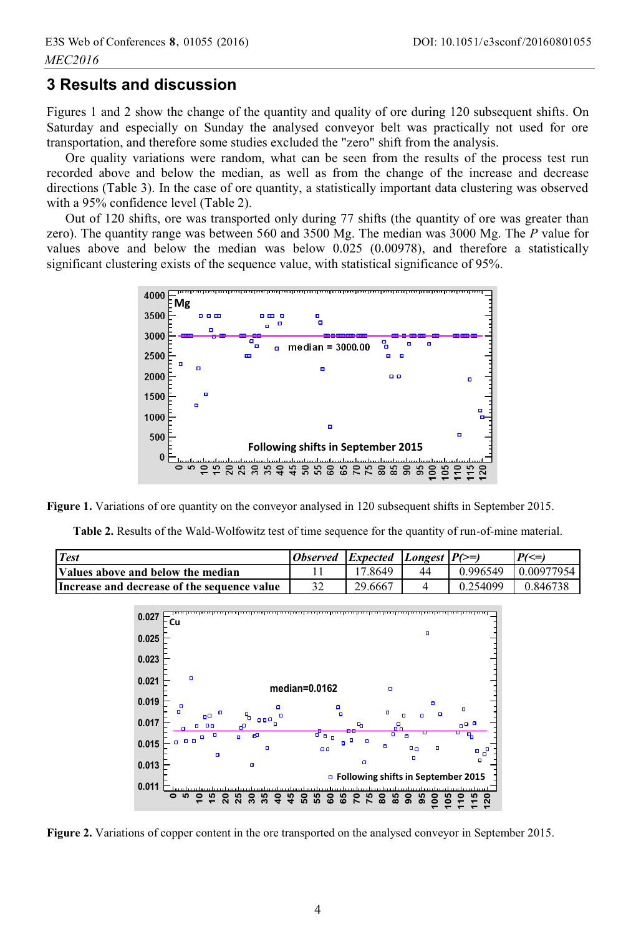#### **3 Results and discussion**

Figures 1 and 2 show the change of the quantity and quality of ore during 120 subsequent shifts. On Saturday and especially on Sunday the analysed conveyor belt was practically not used for ore transportation, and therefore some studies excluded the "zero" shift from the analysis.

 Ore quality variations were random, what can be seen from the results of the process test run recorded above and below the median, as well as from the change of the increase and decrease directions (Table 3). In the case of ore quantity, a statistically important data clustering was observed with a 95% confidence level (Table 2).

 Out of 120 shifts, ore was transported only during 77 shifts (the quantity of ore was greater than zero). The quantity range was between 560 and 3500 Mg. The median was 3000 Mg. The *P* value for values above and below the median was below 0.025 (0.00978), and therefore a statistically significant clustering exists of the sequence value, with statistical significance of 95%.



**Figure 1.** Variations of ore quantity on the conveyor analysed in 120 subsequent shifts in September 2015.



| <b>Test</b>                                 | $\vert Observed \vert Expected \vert Longest \vert P(\ge)$ |    |          | $P(\leq=)$ |
|---------------------------------------------|------------------------------------------------------------|----|----------|------------|
| Values above and below the median           | 17.8649                                                    | 44 | 0.996549 | 0.00977954 |
| Increase and decrease of the sequence value | 29.6667                                                    |    | 0.254099 | 0.846738   |



**Figure 2.** Variations of copper content in the ore transported on the analysed conveyor in September 2015.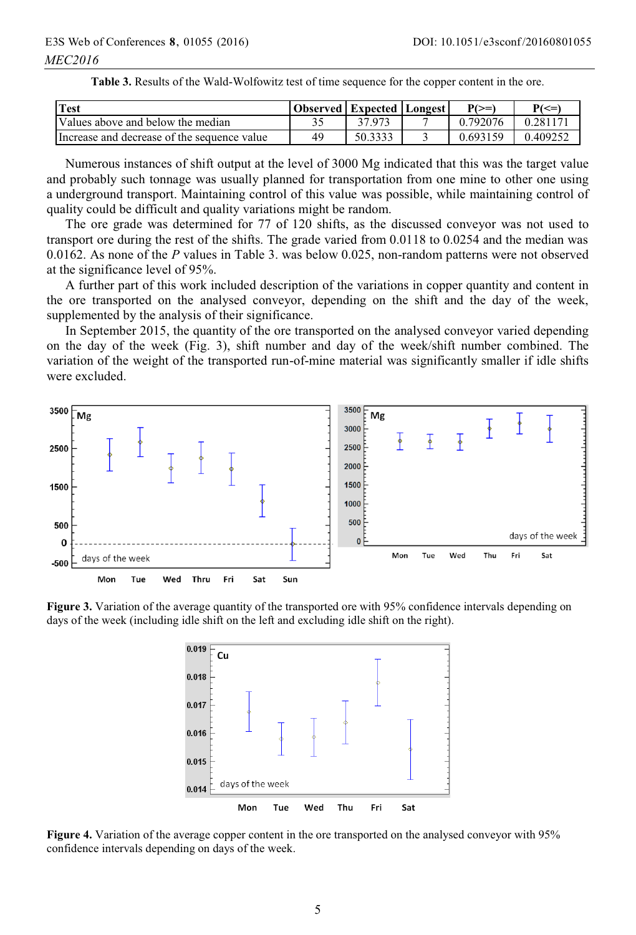| <b>Test</b>                                 | Observed   Expected   Longest |         | $P(>=)$  |          |
|---------------------------------------------|-------------------------------|---------|----------|----------|
| Values above and below the median           |                               | 37.973  | 0.792076 | 0.281171 |
| Increase and decrease of the sequence value | 49                            | 50.3333 | 0.693159 | 0.409252 |

**Table 3.** Results of the Wald-Wolfowitz test of time sequence for the copper content in the ore.

 Numerous instances of shift output at the level of 3000 Mg indicated that this was the target value and probably such tonnage was usually planned for transportation from one mine to other one using a underground transport. Maintaining control of this value was possible, while maintaining control of quality could be difficult and quality variations might be random.

 The ore grade was determined for 77 of 120 shifts, as the discussed conveyor was not used to transport ore during the rest of the shifts. The grade varied from 0.0118 to 0.0254 and the median was 0.0162. As none of the *P* values in Table 3. was below 0.025, non-random patterns were not observed at the significance level of 95%.

 A further part of this work included description of the variations in copper quantity and content in the ore transported on the analysed conveyor, depending on the shift and the day of the week, supplemented by the analysis of their significance.

 In September 2015, the quantity of the ore transported on the analysed conveyor varied depending on the day of the week (Fig. 3), shift number and day of the week/shift number combined. The variation of the weight of the transported run-of-mine material was significantly smaller if idle shifts were excluded.



**Figure 3.** Variation of the average quantity of the transported ore with 95% confidence intervals depending on days of the week (including idle shift on the left and excluding idle shift on the right).



**Figure 4.** Variation of the average copper content in the ore transported on the analysed conveyor with 95% confidence intervals depending on days of the week.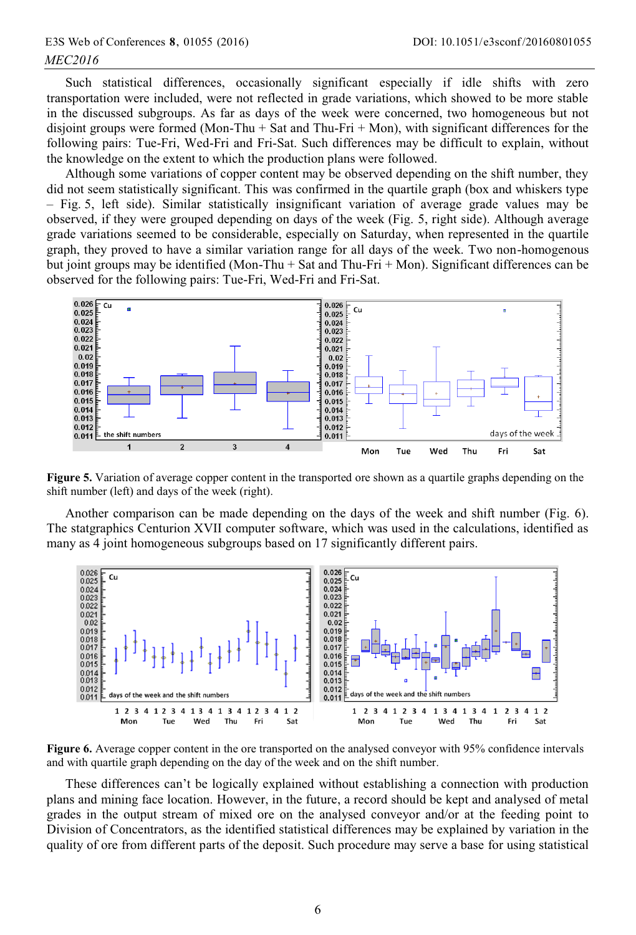Such statistical differences, occasionally significant especially if idle shifts with zero transportation were included, were not reflected in grade variations, which showed to be more stable in the discussed subgroups. As far as days of the week were concerned, two homogeneous but not disjoint groups were formed (Mon-Thu  $+$  Sat and Thu-Fri  $+$  Mon), with significant differences for the following pairs: Tue-Fri, Wed-Fri and Fri-Sat. Such differences may be difficult to explain, without the knowledge on the extent to which the production plans were followed.

 Although some variations of copper content may be observed depending on the shift number, they did not seem statistically significant. This was confirmed in the quartile graph (box and whiskers type – Fig. 5, left side). Similar statistically insignificant variation of average grade values may be observed, if they were grouped depending on days of the week (Fig. 5, right side). Although average grade variations seemed to be considerable, especially on Saturday, when represented in the quartile graph, they proved to have a similar variation range for all days of the week. Two non-homogenous but joint groups may be identified (Mon-Thu + Sat and Thu-Fri + Mon). Significant differences can be observed for the following pairs: Tue-Fri, Wed-Fri and Fri-Sat.



**Figure 5.** Variation of average copper content in the transported ore shown as a quartile graphs depending on the shift number (left) and days of the week (right).

 Another comparison can be made depending on the days of the week and shift number (Fig. 6). The statgraphics Centurion XVII computer software, which was used in the calculations, identified as many as 4 joint homogeneous subgroups based on 17 significantly different pairs.



**Figure 6.** Average copper content in the ore transported on the analysed conveyor with 95% confidence intervals and with quartile graph depending on the day of the week and on the shift number.

 These differences can't be logically explained without establishing a connection with production plans and mining face location. However, in the future, a record should be kept and analysed of metal grades in the output stream of mixed ore on the analysed conveyor and/or at the feeding point to Division of Concentrators, as the identified statistical differences may be explained by variation in the quality of ore from different parts of the deposit. Such procedure may serve a base for using statistical